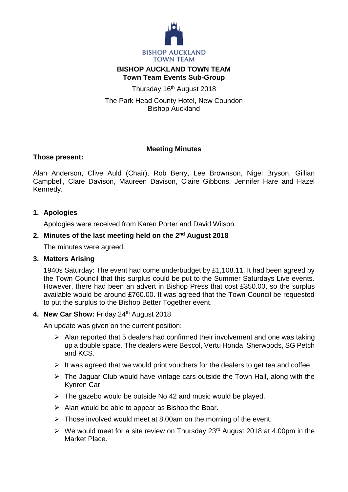

### **BISHOP AUCKLAND TOWN TEAM Town Team Events Sub-Group**

Thursday 16<sup>th</sup> August 2018

The Park Head County Hotel, New Coundon Bishop Auckland

### **Meeting Minutes**

### **Those present:**

Alan Anderson, Clive Auld (Chair), Rob Berry, Lee Brownson, Nigel Bryson, Gillian Campbell, Clare Davison, Maureen Davison, Claire Gibbons, Jennifer Hare and Hazel Kennedy.

# **1. Apologies**

Apologies were received from Karen Porter and David Wilson.

# 2. Minutes of the last meeting held on the 2<sup>nd</sup> August 2018

The minutes were agreed.

# **3. Matters Arising**

1940s Saturday: The event had come underbudget by £1,108.11. It had been agreed by the Town Council that this surplus could be put to the Summer Saturdays Live events. However, there had been an advert in Bishop Press that cost £350.00, so the surplus available would be around £760.00. It was agreed that the Town Council be requested to put the surplus to the Bishop Better Together event.

# **4. New Car Show:** Friday 24th August 2018

An update was given on the current position:

- $\triangleright$  Alan reported that 5 dealers had confirmed their involvement and one was taking up a double space. The dealers were Bescol, Vertu Honda, Sherwoods, SG Petch and KCS.
- $\triangleright$  It was agreed that we would print vouchers for the dealers to get tea and coffee.
- $\triangleright$  The Jaguar Club would have vintage cars outside the Town Hall, along with the Kynren Car.
- $\triangleright$  The gazebo would be outside No 42 and music would be played.
- $\triangleright$  Alan would be able to appear as Bishop the Boar.
- $\triangleright$  Those involved would meet at 8.00am on the morning of the event.
- $\triangleright$  We would meet for a site review on Thursday 23<sup>rd</sup> August 2018 at 4.00pm in the Market Place.